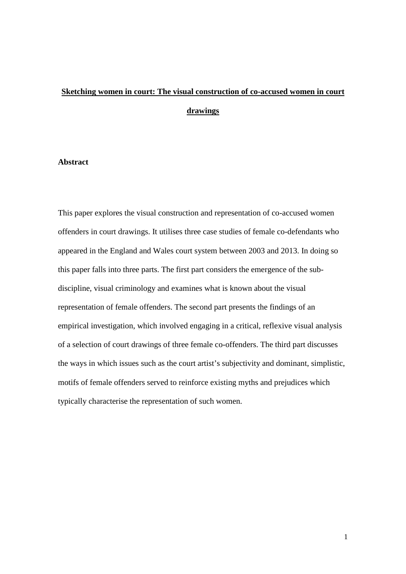# **Sketching women in court: The visual construction of co-accused women in court drawings**

### **Abstract**

This paper explores the visual construction and representation of co-accused women offenders in court drawings. It utilises three case studies of female co-defendants who appeared in the England and Wales court system between 2003 and 2013. In doing so this paper falls into three parts. The first part considers the emergence of the subdiscipline, visual criminology and examines what is known about the visual representation of female offenders. The second part presents the findings of an empirical investigation, which involved engaging in a critical, reflexive visual analysis of a selection of court drawings of three female co-offenders. The third part discusses the ways in which issues such as the court artist's subjectivity and dominant, simplistic, motifs of female offenders served to reinforce existing myths and prejudices which typically characterise the representation of such women.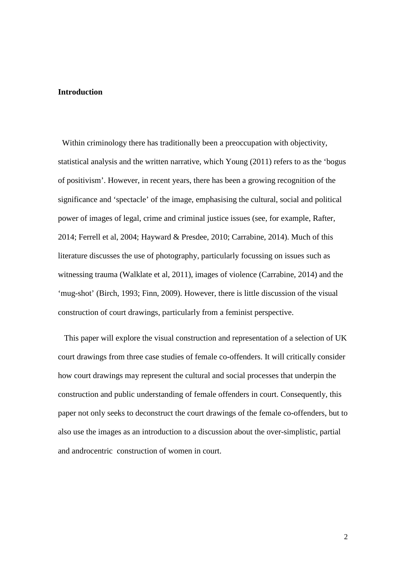#### **Introduction**

 Within criminology there has traditionally been a preoccupation with objectivity, statistical analysis and the written narrative, which Young (2011) refers to as the 'bogus of positivism'. However, in recent years, there has been a growing recognition of the significance and 'spectacle' of the image, emphasising the cultural, social and political power of images of legal, crime and criminal justice issues (see, for example, Rafter, 2014; Ferrell et al, 2004; Hayward & Presdee, 2010; Carrabine, 2014). Much of this literature discusses the use of photography, particularly focussing on issues such as witnessing trauma (Walklate et al, 2011), images of violence (Carrabine, 2014) and the 'mug-shot' (Birch, 1993; Finn, 2009). However, there is little discussion of the visual construction of court drawings, particularly from a feminist perspective.

 This paper will explore the visual construction and representation of a selection of UK court drawings from three case studies of female co-offenders. It will critically consider how court drawings may represent the cultural and social processes that underpin the construction and public understanding of female offenders in court. Consequently, this paper not only seeks to deconstruct the court drawings of the female co-offenders, but to also use the images as an introduction to a discussion about the over-simplistic, partial and androcentric construction of women in court.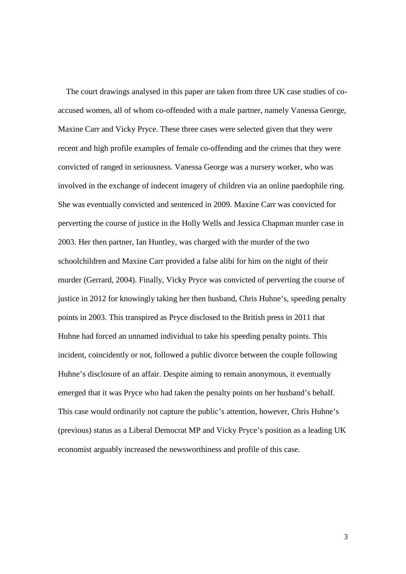The court drawings analysed in this paper are taken from three UK case studies of coaccused women, all of whom co-offended with a male partner, namely Vanessa George, Maxine Carr and Vicky Pryce. These three cases were selected given that they were recent and high profile examples of female co-offending and the crimes that they were convicted of ranged in seriousness. Vanessa George was a nursery worker, who was involved in the exchange of indecent imagery of children via an online paedophile ring. She was eventually convicted and sentenced in 2009. Maxine Carr was convicted for perverting the course of justice in the Holly Wells and Jessica Chapman murder case in 2003. Her then partner, Ian Huntley, was charged with the murder of the two schoolchildren and Maxine Carr provided a false alibi for him on the night of their murder (Gerrard, 2004). Finally, Vicky Pryce was convicted of perverting the course of justice in 2012 for knowingly taking her then husband, Chris Huhne's, speeding penalty points in 2003. This transpired as Pryce disclosed to the British press in 2011 that Huhne had forced an unnamed individual to take his speeding penalty points. This incident, coincidently or not, followed a public divorce between the couple following Huhne's disclosure of an affair. Despite aiming to remain anonymous, it eventually emerged that it was Pryce who had taken the penalty points on her husband's behalf. This case would ordinarily not capture the public's attention, however, Chris Huhne's (previous) status as a Liberal Democrat MP and Vicky Pryce's position as a leading UK economist arguably increased the newsworthiness and profile of this case.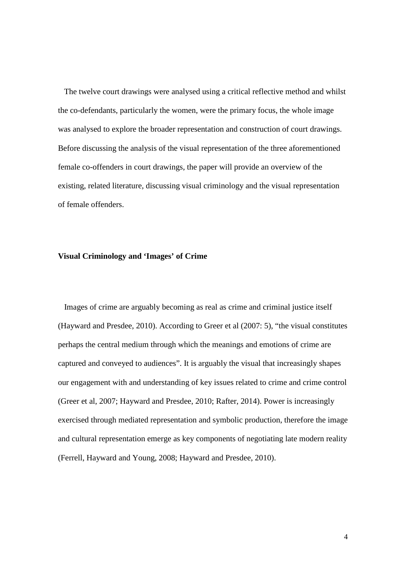The twelve court drawings were analysed using a critical reflective method and whilst the co-defendants, particularly the women, were the primary focus, the whole image was analysed to explore the broader representation and construction of court drawings. Before discussing the analysis of the visual representation of the three aforementioned female co-offenders in court drawings, the paper will provide an overview of the existing, related literature, discussing visual criminology and the visual representation of female offenders.

#### **Visual Criminology and 'Images' of Crime**

 Images of crime are arguably becoming as real as crime and criminal justice itself (Hayward and Presdee, 2010). According to Greer et al (2007: 5), "the visual constitutes perhaps the central medium through which the meanings and emotions of crime are captured and conveyed to audiences". It is arguably the visual that increasingly shapes our engagement with and understanding of key issues related to crime and crime control (Greer et al, 2007; Hayward and Presdee, 2010; Rafter, 2014). Power is increasingly exercised through mediated representation and symbolic production, therefore the image and cultural representation emerge as key components of negotiating late modern reality (Ferrell, Hayward and Young, 2008; Hayward and Presdee, 2010).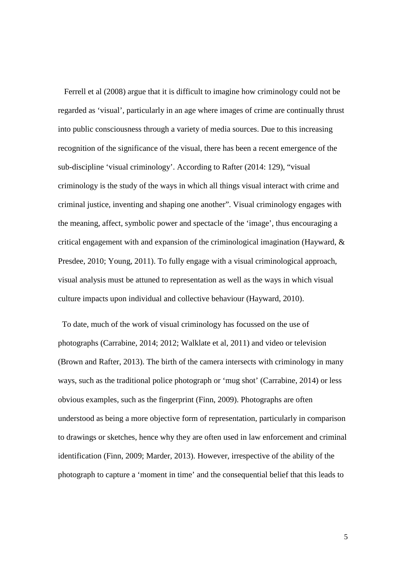Ferrell et al (2008) argue that it is difficult to imagine how criminology could not be regarded as 'visual', particularly in an age where images of crime are continually thrust into public consciousness through a variety of media sources. Due to this increasing recognition of the significance of the visual, there has been a recent emergence of the sub-discipline 'visual criminology'. According to Rafter (2014: 129), "visual criminology is the study of the ways in which all things visual interact with crime and criminal justice, inventing and shaping one another". Visual criminology engages with the meaning, affect, symbolic power and spectacle of the 'image', thus encouraging a critical engagement with and expansion of the criminological imagination (Hayward, & Presdee, 2010; Young, 2011). To fully engage with a visual criminological approach, visual analysis must be attuned to representation as well as the ways in which visual culture impacts upon individual and collective behaviour (Hayward, 2010).

 To date, much of the work of visual criminology has focussed on the use of photographs (Carrabine, 2014; 2012; Walklate et al, 2011) and video or television (Brown and Rafter, 2013). The birth of the camera intersects with criminology in many ways, such as the traditional police photograph or 'mug shot' (Carrabine, 2014) or less obvious examples, such as the fingerprint (Finn, 2009). Photographs are often understood as being a more objective form of representation, particularly in comparison to drawings or sketches, hence why they are often used in law enforcement and criminal identification (Finn, 2009; Marder, 2013). However, irrespective of the ability of the photograph to capture a 'moment in time' and the consequential belief that this leads to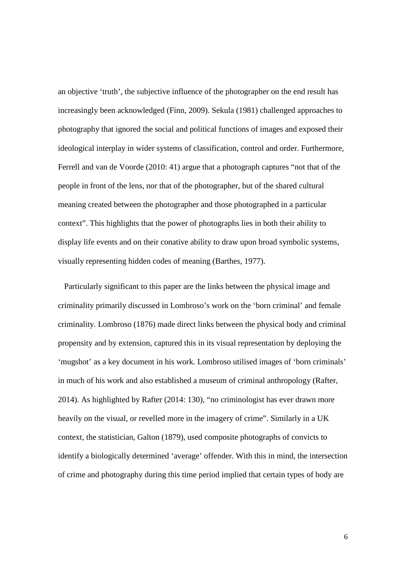an objective 'truth', the subjective influence of the photographer on the end result has increasingly been acknowledged (Finn, 2009). Sekula (1981) challenged approaches to photography that ignored the social and political functions of images and exposed their ideological interplay in wider systems of classification, control and order. Furthermore, Ferrell and van de Voorde (2010: 41) argue that a photograph captures "not that of the people in front of the lens, nor that of the photographer, but of the shared cultural meaning created between the photographer and those photographed in a particular context". This highlights that the power of photographs lies in both their ability to display life events and on their conative ability to draw upon broad symbolic systems, visually representing hidden codes of meaning (Barthes, 1977).

 Particularly significant to this paper are the links between the physical image and criminality primarily discussed in Lombroso's work on the 'born criminal' and female criminality. Lombroso (1876) made direct links between the physical body and criminal propensity and by extension, captured this in its visual representation by deploying the 'mugshot' as a key document in his work. Lombroso utilised images of 'born criminals' in much of his work and also established a museum of criminal anthropology (Rafter, 2014). As highlighted by Rafter (2014: 130), "no criminologist has ever drawn more heavily on the visual, or revelled more in the imagery of crime". Similarly in a UK context, the statistician, Galton (1879), used composite photographs of convicts to identify a biologically determined 'average' offender. With this in mind, the intersection of crime and photography during this time period implied that certain types of body are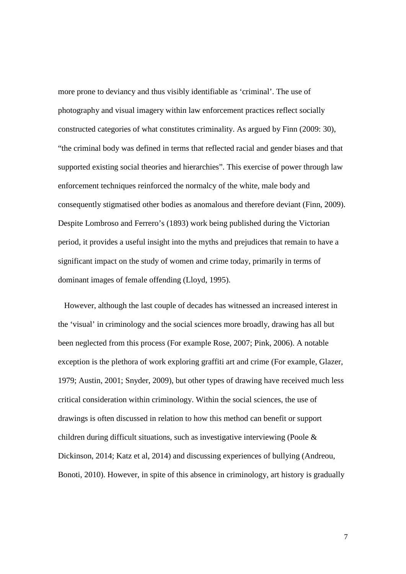more prone to deviancy and thus visibly identifiable as 'criminal'. The use of photography and visual imagery within law enforcement practices reflect socially constructed categories of what constitutes criminality. As argued by Finn (2009: 30), "the criminal body was defined in terms that reflected racial and gender biases and that supported existing social theories and hierarchies". This exercise of power through law enforcement techniques reinforced the normalcy of the white, male body and consequently stigmatised other bodies as anomalous and therefore deviant (Finn, 2009). Despite Lombroso and Ferrero's (1893) work being published during the Victorian period, it provides a useful insight into the myths and prejudices that remain to have a significant impact on the study of women and crime today, primarily in terms of dominant images of female offending (Lloyd, 1995).

 However, although the last couple of decades has witnessed an increased interest in the 'visual' in criminology and the social sciences more broadly, drawing has all but been neglected from this process (For example Rose, 2007; Pink, 2006). A notable exception is the plethora of work exploring graffiti art and crime (For example, Glazer, 1979; Austin, 2001; Snyder, 2009), but other types of drawing have received much less critical consideration within criminology. Within the social sciences, the use of drawings is often discussed in relation to how this method can benefit or support children during difficult situations, such as investigative interviewing (Poole & Dickinson, 2014; Katz et al, 2014) and discussing experiences of bullying (Andreou, Bonoti, 2010). However, in spite of this absence in criminology, art history is gradually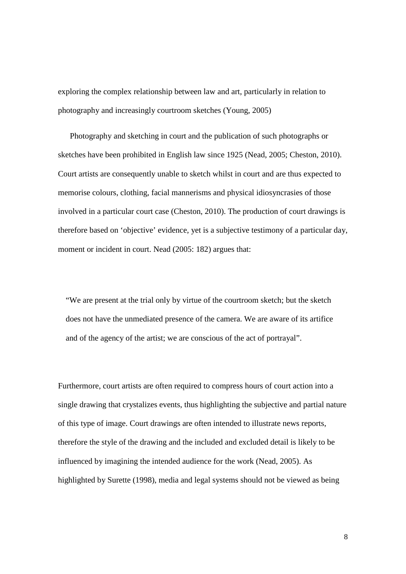exploring the complex relationship between law and art, particularly in relation to photography and increasingly courtroom sketches (Young, 2005)

 Photography and sketching in court and the publication of such photographs or sketches have been prohibited in English law since 1925 (Nead, 2005; Cheston, 2010). Court artists are consequently unable to sketch whilst in court and are thus expected to memorise colours, clothing, facial mannerisms and physical idiosyncrasies of those involved in a particular court case (Cheston, 2010). The production of court drawings is therefore based on 'objective' evidence, yet is a subjective testimony of a particular day, moment or incident in court. Nead (2005: 182) argues that:

"We are present at the trial only by virtue of the courtroom sketch; but the sketch does not have the unmediated presence of the camera. We are aware of its artifice and of the agency of the artist; we are conscious of the act of portrayal".

Furthermore, court artists are often required to compress hours of court action into a single drawing that crystalizes events, thus highlighting the subjective and partial nature of this type of image. Court drawings are often intended to illustrate news reports, therefore the style of the drawing and the included and excluded detail is likely to be influenced by imagining the intended audience for the work (Nead, 2005). As highlighted by Surette (1998), media and legal systems should not be viewed as being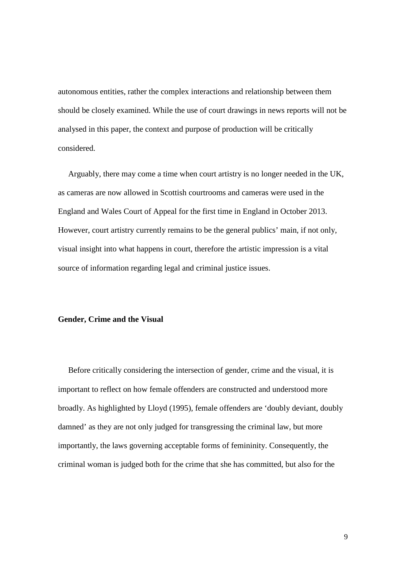autonomous entities, rather the complex interactions and relationship between them should be closely examined. While the use of court drawings in news reports will not be analysed in this paper, the context and purpose of production will be critically considered.

 Arguably, there may come a time when court artistry is no longer needed in the UK, as cameras are now allowed in Scottish courtrooms and cameras were used in the England and Wales Court of Appeal for the first time in England in October 2013. However, court artistry currently remains to be the general publics' main, if not only, visual insight into what happens in court, therefore the artistic impression is a vital source of information regarding legal and criminal justice issues.

#### **Gender, Crime and the Visual**

 Before critically considering the intersection of gender, crime and the visual, it is important to reflect on how female offenders are constructed and understood more broadly. As highlighted by Lloyd (1995), female offenders are 'doubly deviant, doubly damned' as they are not only judged for transgressing the criminal law, but more importantly, the laws governing acceptable forms of femininity. Consequently, the criminal woman is judged both for the crime that she has committed, but also for the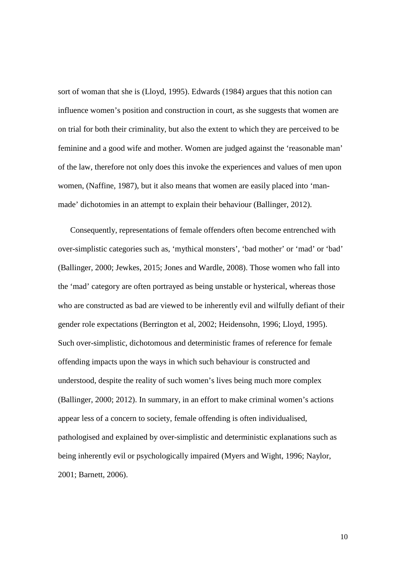sort of woman that she is (Lloyd, 1995). Edwards (1984) argues that this notion can influence women's position and construction in court, as she suggests that women are on trial for both their criminality, but also the extent to which they are perceived to be feminine and a good wife and mother. Women are judged against the 'reasonable man' of the law, therefore not only does this invoke the experiences and values of men upon women, (Naffine, 1987), but it also means that women are easily placed into 'manmade' dichotomies in an attempt to explain their behaviour (Ballinger, 2012).

 Consequently, representations of female offenders often become entrenched with over-simplistic categories such as, 'mythical monsters', 'bad mother' or 'mad' or 'bad' (Ballinger, 2000; Jewkes, 2015; Jones and Wardle, 2008). Those women who fall into the 'mad' category are often portrayed as being unstable or hysterical, whereas those who are constructed as bad are viewed to be inherently evil and wilfully defiant of their gender role expectations (Berrington et al, 2002; Heidensohn, 1996; Lloyd, 1995). Such over-simplistic, dichotomous and deterministic frames of reference for female offending impacts upon the ways in which such behaviour is constructed and understood, despite the reality of such women's lives being much more complex (Ballinger, 2000; 2012). In summary, in an effort to make criminal women's actions appear less of a concern to society, female offending is often individualised, pathologised and explained by over-simplistic and deterministic explanations such as being inherently evil or psychologically impaired (Myers and Wight, 1996; Naylor, 2001; Barnett, 2006).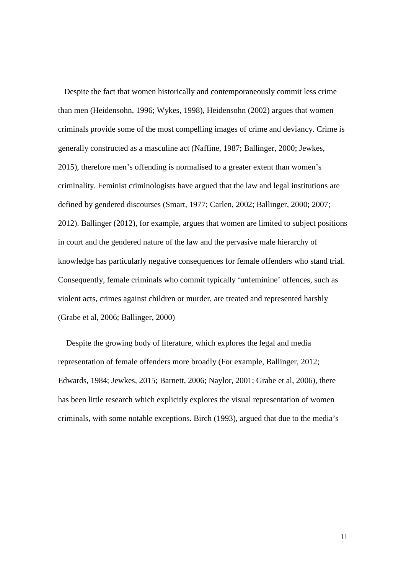Despite the fact that women historically and contemporaneously commit less crime than men (Heidensohn, 1996; Wykes, 1998), Heidensohn (2002) argues that women criminals provide some of the most compelling images of crime and deviancy. Crime is generally constructed as a masculine act (Naffine, 1987; Ballinger, 2000; Jewkes, 2015), therefore men's offending is normalised to a greater extent than women's criminality. Feminist criminologists have argued that the law and legal institutions are defined by gendered discourses (Smart, 1977; Carlen, 2002; Ballinger, 2000; 2007; 2012). Ballinger (2012), for example, argues that women are limited to subject positions in court and the gendered nature of the law and the pervasive male hierarchy of knowledge has particularly negative consequences for female offenders who stand trial. Consequently, female criminals who commit typically 'unfeminine' offences, such as violent acts, crimes against children or murder, are treated and represented harshly (Grabe et al, 2006; Ballinger, 2000)

 Despite the growing body of literature, which explores the legal and media representation of female offenders more broadly (For example, Ballinger, 2012; Edwards, 1984; Jewkes, 2015; Barnett, 2006; Naylor, 2001; Grabe et al, 2006), there has been little research which explicitly explores the visual representation of women criminals, with some notable exceptions. Birch (1993), argued that due to the media's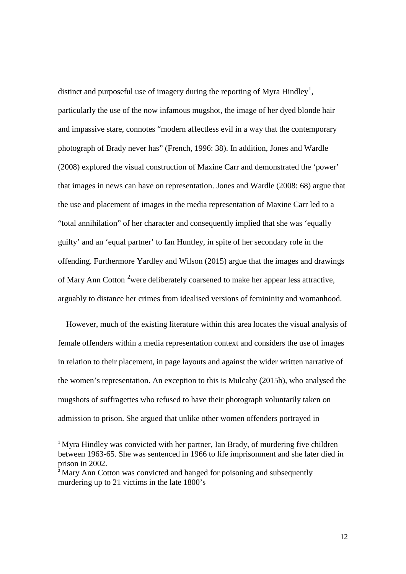distinct and purposeful use of imagery during the reporting of Myra Hindley<sup>[1](#page-11-0)</sup>, particularly the use of the now infamous mugshot, the image of her dyed blonde hair and impassive stare, connotes "modern affectless evil in a way that the contemporary photograph of Brady never has" (French, 1996: 38). In addition, Jones and Wardle (2008) explored the visual construction of Maxine Carr and demonstrated the 'power' that images in news can have on representation. Jones and Wardle (2008: 68) argue that the use and placement of images in the media representation of Maxine Carr led to a "total annihilation" of her character and consequently implied that she was 'equally guilty' and an 'equal partner' to Ian Huntley, in spite of her secondary role in the offending. Furthermore Yardley and Wilson (2015) argue that the images and drawings of Mary Ann Cotton <sup>[2](#page-11-1)</sup> were deliberately coarsened to make her appear less attractive, arguably to distance her crimes from idealised versions of femininity and womanhood.

 However, much of the existing literature within this area locates the visual analysis of female offenders within a media representation context and considers the use of images in relation to their placement, in page layouts and against the wider written narrative of the women's representation. An exception to this is Mulcahy (2015b), who analysed the mugshots of suffragettes who refused to have their photograph voluntarily taken on admission to prison. She argued that unlike other women offenders portrayed in

<span id="page-11-0"></span><sup>&</sup>lt;sup>1</sup> Myra Hindley was convicted with her partner, Ian Brady, of murdering five children between 1963-65. She was sentenced in 1966 to life imprisonment and she later died in prison in 2002.

<span id="page-11-1"></span><sup>&</sup>lt;sup>2</sup> Mary Ann Cotton was convicted and hanged for poisoning and subsequently murdering up to 21 victims in the late 1800's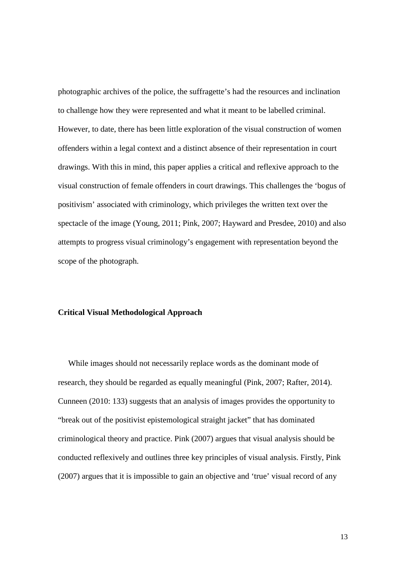photographic archives of the police, the suffragette's had the resources and inclination to challenge how they were represented and what it meant to be labelled criminal. However, to date, there has been little exploration of the visual construction of women offenders within a legal context and a distinct absence of their representation in court drawings. With this in mind, this paper applies a critical and reflexive approach to the visual construction of female offenders in court drawings. This challenges the 'bogus of positivism' associated with criminology, which privileges the written text over the spectacle of the image (Young, 2011; Pink, 2007; Hayward and Presdee, 2010) and also attempts to progress visual criminology's engagement with representation beyond the scope of the photograph.

#### **Critical Visual Methodological Approach**

While images should not necessarily replace words as the dominant mode of research, they should be regarded as equally meaningful (Pink, 2007; Rafter, 2014). Cunneen (2010: 133) suggests that an analysis of images provides the opportunity to "break out of the positivist epistemological straight jacket" that has dominated criminological theory and practice. Pink (2007) argues that visual analysis should be conducted reflexively and outlines three key principles of visual analysis. Firstly, Pink (2007) argues that it is impossible to gain an objective and 'true' visual record of any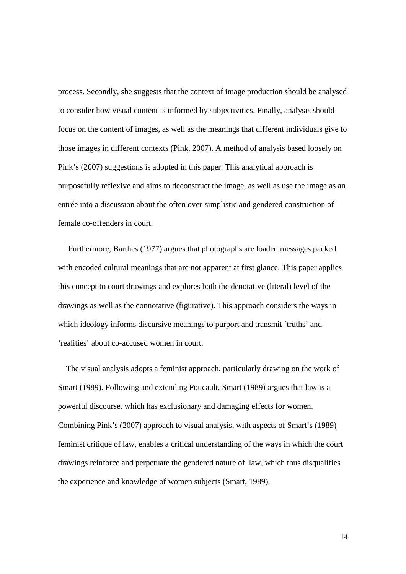process. Secondly, she suggests that the context of image production should be analysed to consider how visual content is informed by subjectivities. Finally, analysis should focus on the content of images, as well as the meanings that different individuals give to those images in different contexts (Pink, 2007). A method of analysis based loosely on Pink's (2007) suggestions is adopted in this paper. This analytical approach is purposefully reflexive and aims to deconstruct the image, as well as use the image as an entrée into a discussion about the often over-simplistic and gendered construction of female co-offenders in court.

 Furthermore, Barthes (1977) argues that photographs are loaded messages packed with encoded cultural meanings that are not apparent at first glance. This paper applies this concept to court drawings and explores both the denotative (literal) level of the drawings as well as the connotative (figurative). This approach considers the ways in which ideology informs discursive meanings to purport and transmit 'truths' and 'realities' about co-accused women in court.

 The visual analysis adopts a feminist approach, particularly drawing on the work of Smart (1989). Following and extending Foucault, Smart (1989) argues that law is a powerful discourse, which has exclusionary and damaging effects for women. Combining Pink's (2007) approach to visual analysis, with aspects of Smart's (1989) feminist critique of law, enables a critical understanding of the ways in which the court drawings reinforce and perpetuate the gendered nature of law, which thus disqualifies the experience and knowledge of women subjects (Smart, 1989).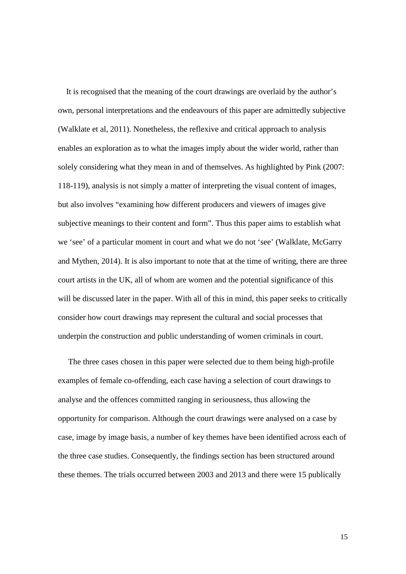It is recognised that the meaning of the court drawings are overlaid by the author's own, personal interpretations and the endeavours of this paper are admittedly subjective (Walklate et al, 2011). Nonetheless, the reflexive and critical approach to analysis enables an exploration as to what the images imply about the wider world, rather than solely considering what they mean in and of themselves. As highlighted by Pink (2007: 118-119), analysis is not simply a matter of interpreting the visual content of images, but also involves "examining how different producers and viewers of images give subjective meanings to their content and form". Thus this paper aims to establish what we 'see' of a particular moment in court and what we do not 'see' (Walklate, McGarry and Mythen, 2014). It is also important to note that at the time of writing, there are three court artists in the UK, all of whom are women and the potential significance of this will be discussed later in the paper. With all of this in mind, this paper seeks to critically consider how court drawings may represent the cultural and social processes that underpin the construction and public understanding of women criminals in court.

 The three cases chosen in this paper were selected due to them being high-profile examples of female co-offending, each case having a selection of court drawings to analyse and the offences committed ranging in seriousness, thus allowing the opportunity for comparison. Although the court drawings were analysed on a case by case, image by image basis, a number of key themes have been identified across each of the three case studies. Consequently, the findings section has been structured around these themes. The trials occurred between 2003 and 2013 and there were 15 publically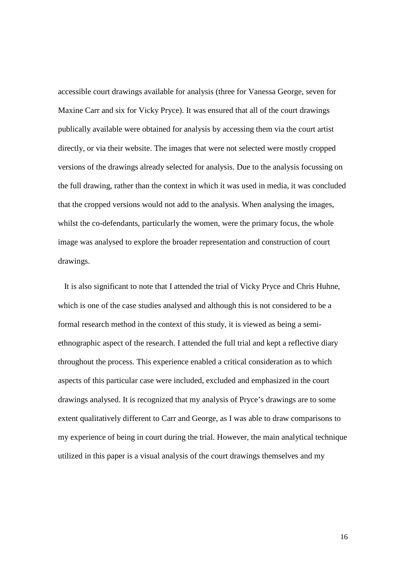accessible court drawings available for analysis (three for Vanessa George, seven for Maxine Carr and six for Vicky Pryce). It was ensured that all of the court drawings publically available were obtained for analysis by accessing them via the court artist directly, or via their website. The images that were not selected were mostly cropped versions of the drawings already selected for analysis. Due to the analysis focussing on the full drawing, rather than the context in which it was used in media, it was concluded that the cropped versions would not add to the analysis. When analysing the images, whilst the co-defendants, particularly the women, were the primary focus, the whole image was analysed to explore the broader representation and construction of court drawings.

 It is also significant to note that I attended the trial of Vicky Pryce and Chris Huhne, which is one of the case studies analysed and although this is not considered to be a formal research method in the context of this study, it is viewed as being a semiethnographic aspect of the research. I attended the full trial and kept a reflective diary throughout the process. This experience enabled a critical consideration as to which aspects of this particular case were included, excluded and emphasized in the court drawings analysed. It is recognized that my analysis of Pryce's drawings are to some extent qualitatively different to Carr and George, as I was able to draw comparisons to my experience of being in court during the trial. However, the main analytical technique utilized in this paper is a visual analysis of the court drawings themselves and my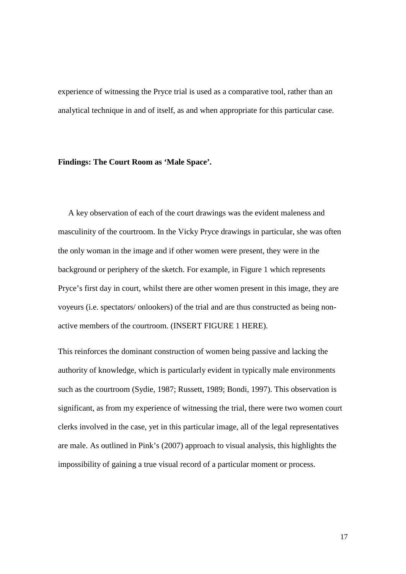experience of witnessing the Pryce trial is used as a comparative tool, rather than an analytical technique in and of itself, as and when appropriate for this particular case.

#### **Findings: The Court Room as 'Male Space'.**

 A key observation of each of the court drawings was the evident maleness and masculinity of the courtroom. In the Vicky Pryce drawings in particular, she was often the only woman in the image and if other women were present, they were in the background or periphery of the sketch. For example, in Figure 1 which represents Pryce's first day in court, whilst there are other women present in this image, they are voyeurs (i.e. spectators/ onlookers) of the trial and are thus constructed as being nonactive members of the courtroom. (INSERT FIGURE 1 HERE).

This reinforces the dominant construction of women being passive and lacking the authority of knowledge, which is particularly evident in typically male environments such as the courtroom (Sydie, 1987; Russett, 1989; Bondi, 1997). This observation is significant, as from my experience of witnessing the trial, there were two women court clerks involved in the case, yet in this particular image, all of the legal representatives are male. As outlined in Pink's (2007) approach to visual analysis, this highlights the impossibility of gaining a true visual record of a particular moment or process.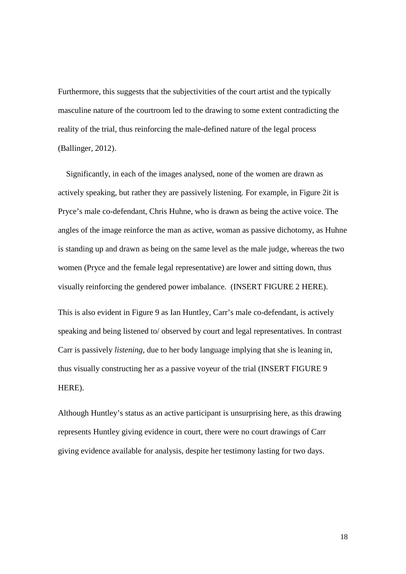Furthermore, this suggests that the subjectivities of the court artist and the typically masculine nature of the courtroom led to the drawing to some extent contradicting the reality of the trial, thus reinforcing the male-defined nature of the legal process (Ballinger, 2012).

 Significantly, in each of the images analysed, none of the women are drawn as actively speaking, but rather they are passively listening. For example, in Figure 2it is Pryce's male co-defendant, Chris Huhne, who is drawn as being the active voice. The angles of the image reinforce the man as active, woman as passive dichotomy, as Huhne is standing up and drawn as being on the same level as the male judge, whereas the two women (Pryce and the female legal representative) are lower and sitting down, thus visually reinforcing the gendered power imbalance. (INSERT FIGURE 2 HERE).

This is also evident in Figure 9 as Ian Huntley, Carr's male co-defendant, is actively speaking and being listened to/ observed by court and legal representatives. In contrast Carr is passively *listening,* due to her body language implying that she is leaning in, thus visually constructing her as a passive voyeur of the trial (INSERT FIGURE 9 HERE).

Although Huntley's status as an active participant is unsurprising here, as this drawing represents Huntley giving evidence in court, there were no court drawings of Carr giving evidence available for analysis, despite her testimony lasting for two days.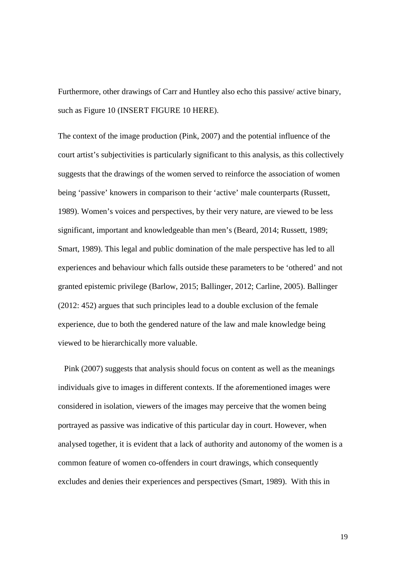Furthermore, other drawings of Carr and Huntley also echo this passive/ active binary, such as Figure 10 (INSERT FIGURE 10 HERE).

The context of the image production (Pink, 2007) and the potential influence of the court artist's subjectivities is particularly significant to this analysis, as this collectively suggests that the drawings of the women served to reinforce the association of women being 'passive' knowers in comparison to their 'active' male counterparts (Russett, 1989). Women's voices and perspectives, by their very nature, are viewed to be less significant, important and knowledgeable than men's (Beard, 2014; Russett, 1989; Smart, 1989). This legal and public domination of the male perspective has led to all experiences and behaviour which falls outside these parameters to be 'othered' and not granted epistemic privilege (Barlow, 2015; Ballinger, 2012; Carline, 2005). Ballinger (2012: 452) argues that such principles lead to a double exclusion of the female experience, due to both the gendered nature of the law and male knowledge being viewed to be hierarchically more valuable.

 Pink (2007) suggests that analysis should focus on content as well as the meanings individuals give to images in different contexts. If the aforementioned images were considered in isolation, viewers of the images may perceive that the women being portrayed as passive was indicative of this particular day in court. However, when analysed together, it is evident that a lack of authority and autonomy of the women is a common feature of women co-offenders in court drawings, which consequently excludes and denies their experiences and perspectives (Smart, 1989). With this in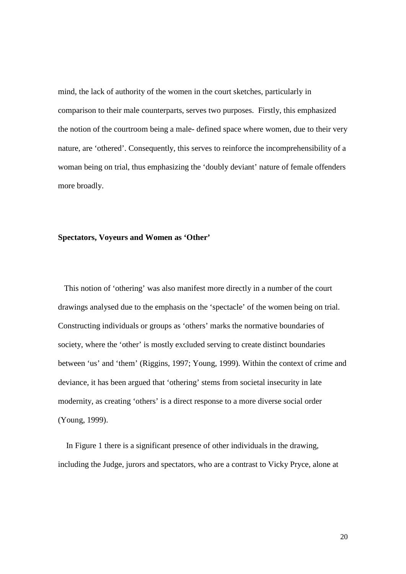mind, the lack of authority of the women in the court sketches, particularly in comparison to their male counterparts, serves two purposes. Firstly, this emphasized the notion of the courtroom being a male- defined space where women, due to their very nature, are 'othered'. Consequently, this serves to reinforce the incomprehensibility of a woman being on trial, thus emphasizing the 'doubly deviant' nature of female offenders more broadly.

#### **Spectators, Voyeurs and Women as 'Other'**

This notion of 'othering' was also manifest more directly in a number of the court drawings analysed due to the emphasis on the 'spectacle' of the women being on trial. Constructing individuals or groups as 'others' marks the normative boundaries of society, where the 'other' is mostly excluded serving to create distinct boundaries between 'us' and 'them' (Riggins, 1997; Young, 1999). Within the context of crime and deviance, it has been argued that 'othering' stems from societal insecurity in late modernity, as creating 'others' is a direct response to a more diverse social order (Young, 1999).

 In Figure 1 there is a significant presence of other individuals in the drawing, including the Judge, jurors and spectators, who are a contrast to Vicky Pryce, alone at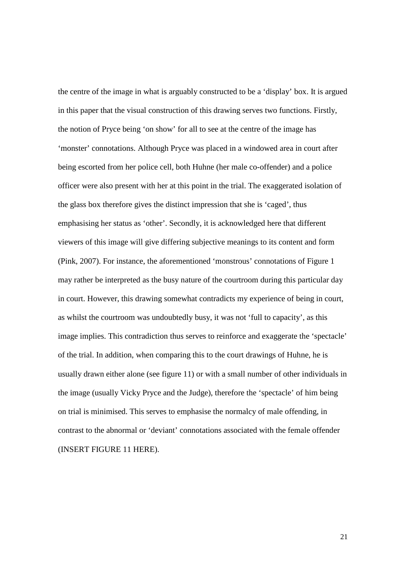the centre of the image in what is arguably constructed to be a 'display' box. It is argued in this paper that the visual construction of this drawing serves two functions. Firstly, the notion of Pryce being 'on show' for all to see at the centre of the image has 'monster' connotations. Although Pryce was placed in a windowed area in court after being escorted from her police cell, both Huhne (her male co-offender) and a police officer were also present with her at this point in the trial. The exaggerated isolation of the glass box therefore gives the distinct impression that she is 'caged', thus emphasising her status as 'other'. Secondly, it is acknowledged here that different viewers of this image will give differing subjective meanings to its content and form (Pink, 2007). For instance, the aforementioned 'monstrous' connotations of Figure 1 may rather be interpreted as the busy nature of the courtroom during this particular day in court. However, this drawing somewhat contradicts my experience of being in court, as whilst the courtroom was undoubtedly busy, it was not 'full to capacity', as this image implies. This contradiction thus serves to reinforce and exaggerate the 'spectacle' of the trial. In addition, when comparing this to the court drawings of Huhne, he is usually drawn either alone (see figure 11) or with a small number of other individuals in the image (usually Vicky Pryce and the Judge), therefore the 'spectacle' of him being on trial is minimised. This serves to emphasise the normalcy of male offending, in contrast to the abnormal or 'deviant' connotations associated with the female offender (INSERT FIGURE 11 HERE).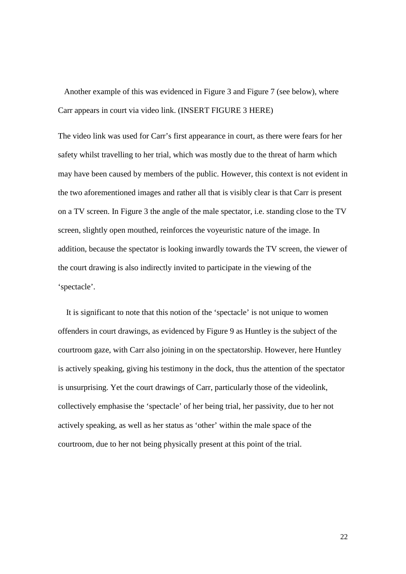Another example of this was evidenced in Figure 3 and Figure 7 (see below), where Carr appears in court via video link. (INSERT FIGURE 3 HERE)

The video link was used for Carr's first appearance in court, as there were fears for her safety whilst travelling to her trial, which was mostly due to the threat of harm which may have been caused by members of the public. However, this context is not evident in the two aforementioned images and rather all that is visibly clear is that Carr is present on a TV screen. In Figure 3 the angle of the male spectator, i.e. standing close to the TV screen, slightly open mouthed, reinforces the voyeuristic nature of the image. In addition, because the spectator is looking inwardly towards the TV screen, the viewer of the court drawing is also indirectly invited to participate in the viewing of the 'spectacle'.

 It is significant to note that this notion of the 'spectacle' is not unique to women offenders in court drawings, as evidenced by Figure 9 as Huntley is the subject of the courtroom gaze, with Carr also joining in on the spectatorship. However, here Huntley is actively speaking, giving his testimony in the dock, thus the attention of the spectator is unsurprising. Yet the court drawings of Carr, particularly those of the videolink, collectively emphasise the 'spectacle' of her being trial, her passivity, due to her not actively speaking, as well as her status as 'other' within the male space of the courtroom, due to her not being physically present at this point of the trial.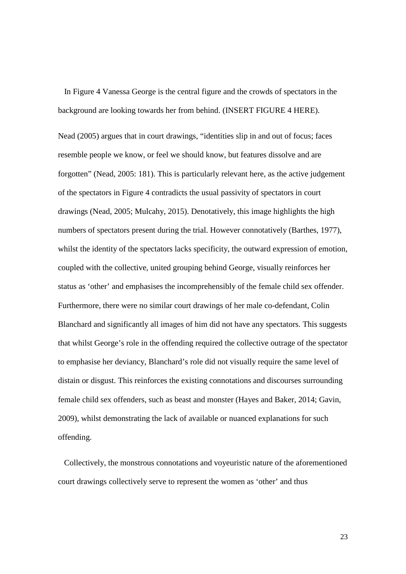In Figure 4 Vanessa George is the central figure and the crowds of spectators in the background are looking towards her from behind. (INSERT FIGURE 4 HERE).

Nead (2005) argues that in court drawings, "identities slip in and out of focus; faces resemble people we know, or feel we should know, but features dissolve and are forgotten" (Nead, 2005: 181). This is particularly relevant here, as the active judgement of the spectators in Figure 4 contradicts the usual passivity of spectators in court drawings (Nead, 2005; Mulcahy, 2015). Denotatively, this image highlights the high numbers of spectators present during the trial. However connotatively (Barthes, 1977), whilst the identity of the spectators lacks specificity, the outward expression of emotion, coupled with the collective, united grouping behind George, visually reinforces her status as 'other' and emphasises the incomprehensibly of the female child sex offender. Furthermore, there were no similar court drawings of her male co-defendant, Colin Blanchard and significantly all images of him did not have any spectators. This suggests that whilst George's role in the offending required the collective outrage of the spectator to emphasise her deviancy, Blanchard's role did not visually require the same level of distain or disgust. This reinforces the existing connotations and discourses surrounding female child sex offenders, such as beast and monster (Hayes and Baker, 2014; Gavin, 2009), whilst demonstrating the lack of available or nuanced explanations for such offending.

 Collectively, the monstrous connotations and voyeuristic nature of the aforementioned court drawings collectively serve to represent the women as 'other' and thus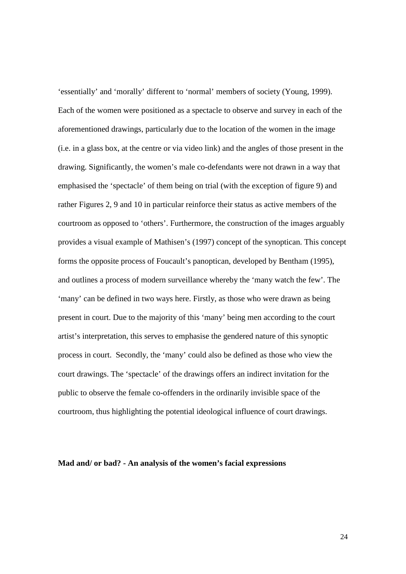'essentially' and 'morally' different to 'normal' members of society (Young, 1999). Each of the women were positioned as a spectacle to observe and survey in each of the aforementioned drawings, particularly due to the location of the women in the image (i.e. in a glass box, at the centre or via video link) and the angles of those present in the drawing. Significantly, the women's male co-defendants were not drawn in a way that emphasised the 'spectacle' of them being on trial (with the exception of figure 9) and rather Figures 2, 9 and 10 in particular reinforce their status as active members of the courtroom as opposed to 'others'. Furthermore, the construction of the images arguably provides a visual example of Mathisen's (1997) concept of the synoptican. This concept forms the opposite process of Foucault's panoptican, developed by Bentham (1995), and outlines a process of modern surveillance whereby the 'many watch the few'. The 'many' can be defined in two ways here. Firstly, as those who were drawn as being present in court. Due to the majority of this 'many' being men according to the court artist's interpretation, this serves to emphasise the gendered nature of this synoptic process in court. Secondly, the 'many' could also be defined as those who view the court drawings. The 'spectacle' of the drawings offers an indirect invitation for the public to observe the female co-offenders in the ordinarily invisible space of the courtroom, thus highlighting the potential ideological influence of court drawings.

#### **Mad and/ or bad? - An analysis of the women's facial expressions**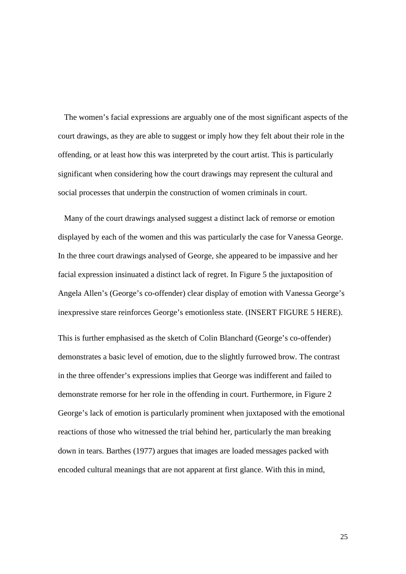The women's facial expressions are arguably one of the most significant aspects of the court drawings, as they are able to suggest or imply how they felt about their role in the offending, or at least how this was interpreted by the court artist. This is particularly significant when considering how the court drawings may represent the cultural and social processes that underpin the construction of women criminals in court.

 Many of the court drawings analysed suggest a distinct lack of remorse or emotion displayed by each of the women and this was particularly the case for Vanessa George. In the three court drawings analysed of George, she appeared to be impassive and her facial expression insinuated a distinct lack of regret. In Figure 5 the juxtaposition of Angela Allen's (George's co-offender) clear display of emotion with Vanessa George's inexpressive stare reinforces George's emotionless state. (INSERT FIGURE 5 HERE).

This is further emphasised as the sketch of Colin Blanchard (George's co-offender) demonstrates a basic level of emotion, due to the slightly furrowed brow. The contrast in the three offender's expressions implies that George was indifferent and failed to demonstrate remorse for her role in the offending in court. Furthermore, in Figure 2 George's lack of emotion is particularly prominent when juxtaposed with the emotional reactions of those who witnessed the trial behind her, particularly the man breaking down in tears. Barthes (1977) argues that images are loaded messages packed with encoded cultural meanings that are not apparent at first glance. With this in mind,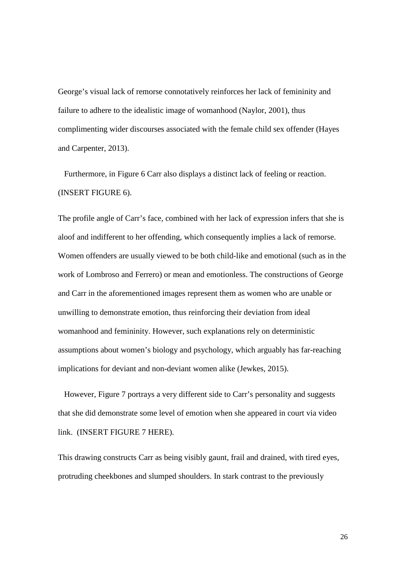George's visual lack of remorse connotatively reinforces her lack of femininity and failure to adhere to the idealistic image of womanhood (Naylor, 2001), thus complimenting wider discourses associated with the female child sex offender (Hayes and Carpenter, 2013).

 Furthermore, in Figure 6 Carr also displays a distinct lack of feeling or reaction. (INSERT FIGURE 6).

The profile angle of Carr's face, combined with her lack of expression infers that she is aloof and indifferent to her offending, which consequently implies a lack of remorse. Women offenders are usually viewed to be both child-like and emotional (such as in the work of Lombroso and Ferrero) or mean and emotionless. The constructions of George and Carr in the aforementioned images represent them as women who are unable or unwilling to demonstrate emotion, thus reinforcing their deviation from ideal womanhood and femininity. However, such explanations rely on deterministic assumptions about women's biology and psychology, which arguably has far-reaching implications for deviant and non-deviant women alike (Jewkes, 2015).

 However, Figure 7 portrays a very different side to Carr's personality and suggests that she did demonstrate some level of emotion when she appeared in court via video link. (INSERT FIGURE 7 HERE).

This drawing constructs Carr as being visibly gaunt, frail and drained, with tired eyes, protruding cheekbones and slumped shoulders. In stark contrast to the previously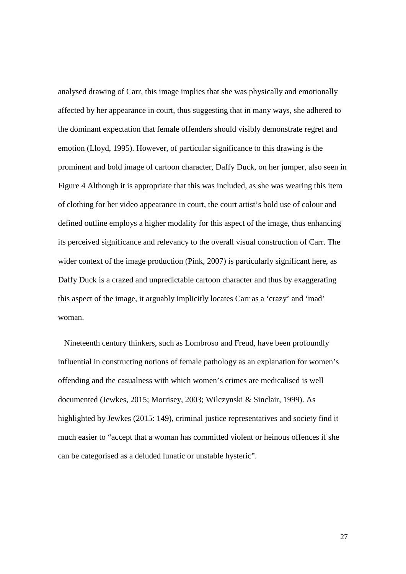analysed drawing of Carr, this image implies that she was physically and emotionally affected by her appearance in court, thus suggesting that in many ways, she adhered to the dominant expectation that female offenders should visibly demonstrate regret and emotion (Lloyd, 1995). However, of particular significance to this drawing is the prominent and bold image of cartoon character, Daffy Duck, on her jumper, also seen in Figure 4 Although it is appropriate that this was included, as she was wearing this item of clothing for her video appearance in court, the court artist's bold use of colour and defined outline employs a higher modality for this aspect of the image, thus enhancing its perceived significance and relevancy to the overall visual construction of Carr. The wider context of the image production (Pink, 2007) is particularly significant here, as Daffy Duck is a crazed and unpredictable cartoon character and thus by exaggerating this aspect of the image, it arguably implicitly locates Carr as a 'crazy' and 'mad' woman.

 Nineteenth century thinkers, such as Lombroso and Freud, have been profoundly influential in constructing notions of female pathology as an explanation for women's offending and the casualness with which women's crimes are medicalised is well documented (Jewkes, 2015; Morrisey, 2003; Wilczynski & Sinclair, 1999). As highlighted by Jewkes (2015: 149), criminal justice representatives and society find it much easier to "accept that a woman has committed violent or heinous offences if she can be categorised as a deluded lunatic or unstable hysteric".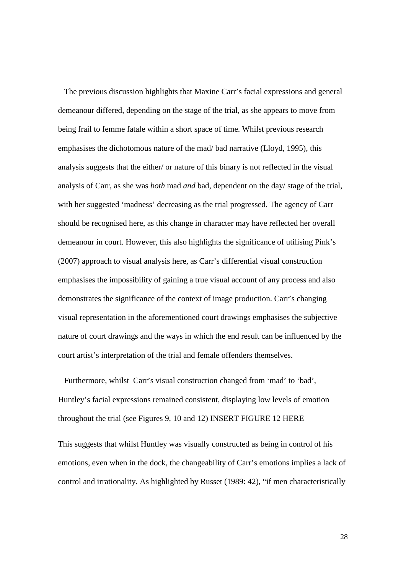The previous discussion highlights that Maxine Carr's facial expressions and general demeanour differed, depending on the stage of the trial, as she appears to move from being frail to femme fatale within a short space of time. Whilst previous research emphasises the dichotomous nature of the mad/ bad narrative (Lloyd, 1995), this analysis suggests that the either/ or nature of this binary is not reflected in the visual analysis of Carr, as she was *both* mad *and* bad, dependent on the day/ stage of the trial, with her suggested 'madness' decreasing as the trial progressed. The agency of Carr should be recognised here, as this change in character may have reflected her overall demeanour in court. However, this also highlights the significance of utilising Pink's (2007) approach to visual analysis here, as Carr's differential visual construction emphasises the impossibility of gaining a true visual account of any process and also demonstrates the significance of the context of image production. Carr's changing visual representation in the aforementioned court drawings emphasises the subjective nature of court drawings and the ways in which the end result can be influenced by the court artist's interpretation of the trial and female offenders themselves.

 Furthermore, whilst Carr's visual construction changed from 'mad' to 'bad', Huntley's facial expressions remained consistent, displaying low levels of emotion throughout the trial (see Figures 9, 10 and 12) INSERT FIGURE 12 HERE

This suggests that whilst Huntley was visually constructed as being in control of his emotions, even when in the dock, the changeability of Carr's emotions implies a lack of control and irrationality. As highlighted by Russet (1989: 42), "if men characteristically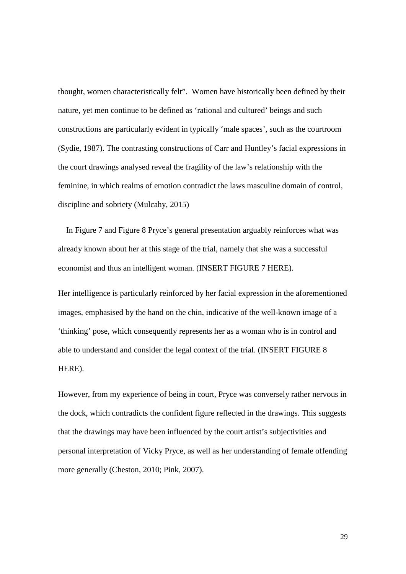thought, women characteristically felt". Women have historically been defined by their nature, yet men continue to be defined as 'rational and cultured' beings and such constructions are particularly evident in typically 'male spaces', such as the courtroom (Sydie, 1987). The contrasting constructions of Carr and Huntley's facial expressions in the court drawings analysed reveal the fragility of the law's relationship with the feminine, in which realms of emotion contradict the laws masculine domain of control, discipline and sobriety (Mulcahy, 2015)

 In Figure 7 and Figure 8 Pryce's general presentation arguably reinforces what was already known about her at this stage of the trial, namely that she was a successful economist and thus an intelligent woman. (INSERT FIGURE 7 HERE).

Her intelligence is particularly reinforced by her facial expression in the aforementioned images, emphasised by the hand on the chin, indicative of the well-known image of a 'thinking' pose, which consequently represents her as a woman who is in control and able to understand and consider the legal context of the trial. (INSERT FIGURE 8 HERE).

However, from my experience of being in court, Pryce was conversely rather nervous in the dock, which contradicts the confident figure reflected in the drawings. This suggests that the drawings may have been influenced by the court artist's subjectivities and personal interpretation of Vicky Pryce, as well as her understanding of female offending more generally (Cheston, 2010; Pink, 2007).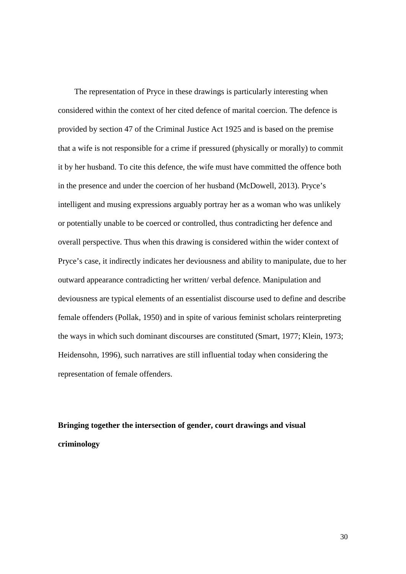The representation of Pryce in these drawings is particularly interesting when considered within the context of her cited defence of marital coercion. The defence is provided by section 47 of the Criminal Justice Act 1925 and is based on the premise that a wife is not responsible for a crime if pressured (physically or morally) to commit it by her husband. To cite this defence, the wife must have committed the offence both in the presence and under the coercion of her husband (McDowell, 2013). Pryce's intelligent and musing expressions arguably portray her as a woman who was unlikely or potentially unable to be coerced or controlled, thus contradicting her defence and overall perspective. Thus when this drawing is considered within the wider context of Pryce's case, it indirectly indicates her deviousness and ability to manipulate, due to her outward appearance contradicting her written/ verbal defence. Manipulation and deviousness are typical elements of an essentialist discourse used to define and describe female offenders (Pollak, 1950) and in spite of various feminist scholars reinterpreting the ways in which such dominant discourses are constituted (Smart, 1977; Klein, 1973; Heidensohn, 1996), such narratives are still influential today when considering the representation of female offenders.

## **Bringing together the intersection of gender, court drawings and visual criminology**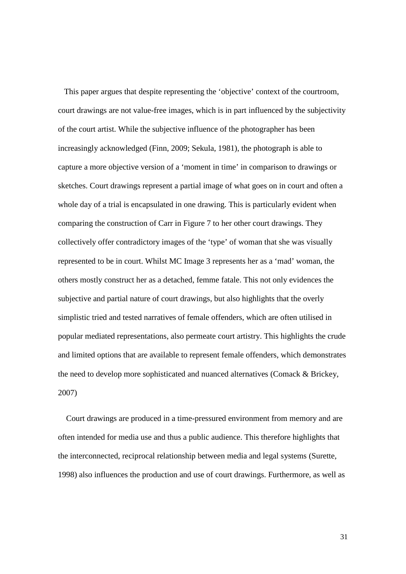This paper argues that despite representing the 'objective' context of the courtroom, court drawings are not value-free images, which is in part influenced by the subjectivity of the court artist. While the subjective influence of the photographer has been increasingly acknowledged (Finn, 2009; Sekula, 1981), the photograph is able to capture a more objective version of a 'moment in time' in comparison to drawings or sketches. Court drawings represent a partial image of what goes on in court and often a whole day of a trial is encapsulated in one drawing. This is particularly evident when comparing the construction of Carr in Figure 7 to her other court drawings. They collectively offer contradictory images of the 'type' of woman that she was visually represented to be in court. Whilst MC Image 3 represents her as a 'mad' woman, the others mostly construct her as a detached, femme fatale. This not only evidences the subjective and partial nature of court drawings, but also highlights that the overly simplistic tried and tested narratives of female offenders, which are often utilised in popular mediated representations, also permeate court artistry. This highlights the crude and limited options that are available to represent female offenders, which demonstrates the need to develop more sophisticated and nuanced alternatives (Comack & Brickey, 2007)

 Court drawings are produced in a time-pressured environment from memory and are often intended for media use and thus a public audience. This therefore highlights that the interconnected, reciprocal relationship between media and legal systems (Surette, 1998) also influences the production and use of court drawings. Furthermore, as well as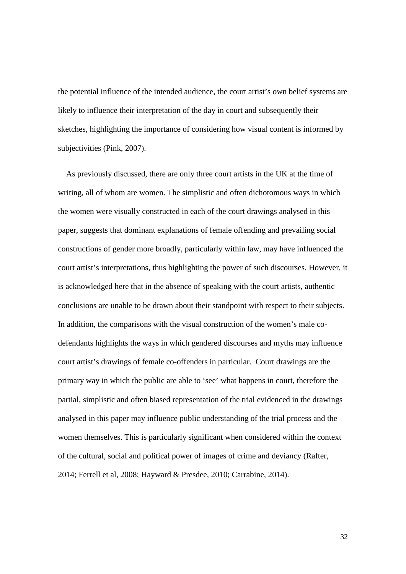the potential influence of the intended audience, the court artist's own belief systems are likely to influence their interpretation of the day in court and subsequently their sketches, highlighting the importance of considering how visual content is informed by subjectivities (Pink, 2007).

 As previously discussed, there are only three court artists in the UK at the time of writing, all of whom are women. The simplistic and often dichotomous ways in which the women were visually constructed in each of the court drawings analysed in this paper, suggests that dominant explanations of female offending and prevailing social constructions of gender more broadly, particularly within law, may have influenced the court artist's interpretations, thus highlighting the power of such discourses. However, it is acknowledged here that in the absence of speaking with the court artists, authentic conclusions are unable to be drawn about their standpoint with respect to their subjects. In addition, the comparisons with the visual construction of the women's male codefendants highlights the ways in which gendered discourses and myths may influence court artist's drawings of female co-offenders in particular. Court drawings are the primary way in which the public are able to 'see' what happens in court, therefore the partial, simplistic and often biased representation of the trial evidenced in the drawings analysed in this paper may influence public understanding of the trial process and the women themselves. This is particularly significant when considered within the context of the cultural, social and political power of images of crime and deviancy (Rafter, 2014; Ferrell et al, 2008; Hayward & Presdee, 2010; Carrabine, 2014).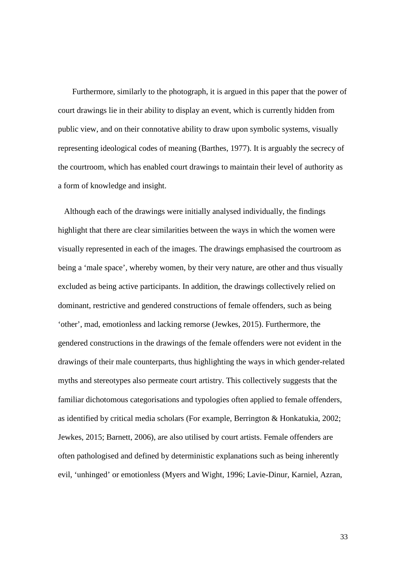Furthermore, similarly to the photograph, it is argued in this paper that the power of court drawings lie in their ability to display an event, which is currently hidden from public view, and on their connotative ability to draw upon symbolic systems, visually representing ideological codes of meaning (Barthes, 1977). It is arguably the secrecy of the courtroom, which has enabled court drawings to maintain their level of authority as a form of knowledge and insight.

 Although each of the drawings were initially analysed individually, the findings highlight that there are clear similarities between the ways in which the women were visually represented in each of the images. The drawings emphasised the courtroom as being a 'male space', whereby women, by their very nature, are other and thus visually excluded as being active participants. In addition, the drawings collectively relied on dominant, restrictive and gendered constructions of female offenders, such as being 'other', mad, emotionless and lacking remorse (Jewkes, 2015). Furthermore, the gendered constructions in the drawings of the female offenders were not evident in the drawings of their male counterparts, thus highlighting the ways in which gender-related myths and stereotypes also permeate court artistry. This collectively suggests that the familiar dichotomous categorisations and typologies often applied to female offenders, as identified by critical media scholars (For example, Berrington & Honkatukia, 2002; Jewkes, 2015; Barnett, 2006), are also utilised by court artists. Female offenders are often pathologised and defined by deterministic explanations such as being inherently evil, 'unhinged' or emotionless (Myers and Wight, 1996; Lavie-Dinur, Karniel, Azran,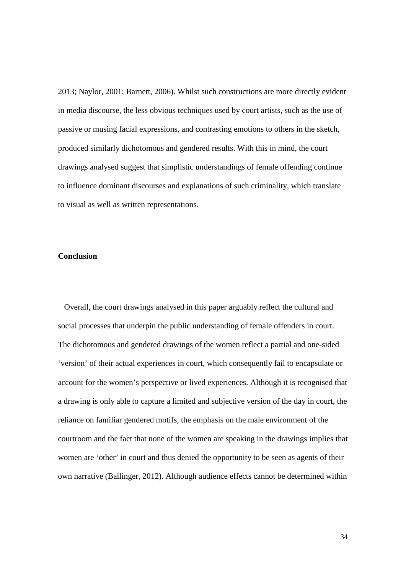2013; Naylor, 2001; Barnett, 2006). Whilst such constructions are more directly evident in media discourse, the less obvious techniques used by court artists, such as the use of passive or musing facial expressions, and contrasting emotions to others in the sketch, produced similarly dichotomous and gendered results. With this in mind, the court drawings analysed suggest that simplistic understandings of female offending continue to influence dominant discourses and explanations of such criminality, which translate to visual as well as written representations.

#### **Conclusion**

 Overall, the court drawings analysed in this paper arguably reflect the cultural and social processes that underpin the public understanding of female offenders in court. The dichotomous and gendered drawings of the women reflect a partial and one-sided 'version' of their actual experiences in court, which consequently fail to encapsulate or account for the women's perspective or lived experiences. Although it is recognised that a drawing is only able to capture a limited and subjective version of the day in court, the reliance on familiar gendered motifs, the emphasis on the male environment of the courtroom and the fact that none of the women are speaking in the drawings implies that women are 'other' in court and thus denied the opportunity to be seen as agents of their own narrative (Ballinger, 2012). Although audience effects cannot be determined within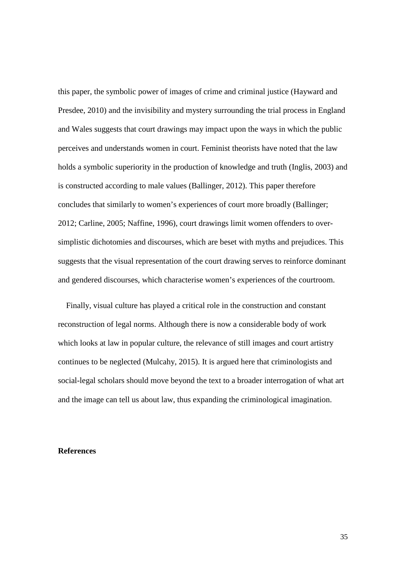this paper, the symbolic power of images of crime and criminal justice (Hayward and Presdee, 2010) and the invisibility and mystery surrounding the trial process in England and Wales suggests that court drawings may impact upon the ways in which the public perceives and understands women in court. Feminist theorists have noted that the law holds a symbolic superiority in the production of knowledge and truth (Inglis, 2003) and is constructed according to male values (Ballinger, 2012). This paper therefore concludes that similarly to women's experiences of court more broadly (Ballinger; 2012; Carline, 2005; Naffine, 1996), court drawings limit women offenders to oversimplistic dichotomies and discourses, which are beset with myths and prejudices. This suggests that the visual representation of the court drawing serves to reinforce dominant and gendered discourses, which characterise women's experiences of the courtroom.

 Finally, visual culture has played a critical role in the construction and constant reconstruction of legal norms. Although there is now a considerable body of work which looks at law in popular culture, the relevance of still images and court artistry continues to be neglected (Mulcahy, 2015). It is argued here that criminologists and social-legal scholars should move beyond the text to a broader interrogation of what art and the image can tell us about law, thus expanding the criminological imagination.

#### **References**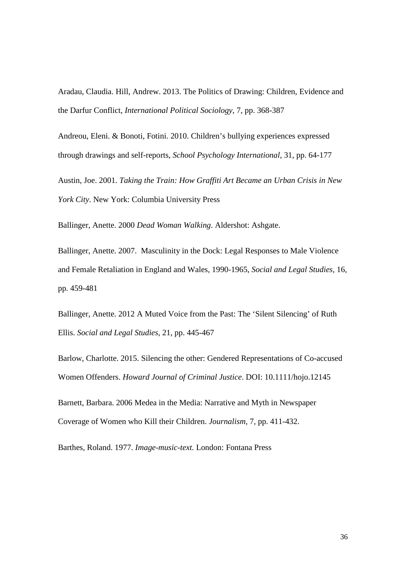Aradau, Claudia. Hill, Andrew. 2013. The Politics of Drawing: Children, Evidence and the Darfur Conflict, *International Political Sociology*, 7, pp. 368-387

Andreou, Eleni. & Bonoti, Fotini. 2010. Children's bullying experiences expressed through drawings and self-reports, *School Psychology International*, 31, pp. 64-177

Austin, Joe. 2001. *Taking the Train: How Graffiti Art Became an Urban Crisis in New York City*. New York: Columbia University Press

Ballinger, Anette. 2000 *Dead Woman Walking*. Aldershot: Ashgate.

Ballinger, Anette. 2007. Masculinity in the Dock: Legal Responses to Male Violence and Female Retaliation in England and Wales, 1990-1965, *Social and Legal Studies,* 16, pp. 459-481

Ballinger, Anette. 2012 A Muted Voice from the Past: The 'Silent Silencing' of Ruth Ellis. *Social and Legal Studies*, 21, pp. 445-467

Barlow, Charlotte. 2015. Silencing the other: Gendered Representations of Co-accused Women Offenders. *Howard Journal of Criminal Justice*. DOI: 10.1111/hojo.12145

Barnett, Barbara. 2006 Medea in the Media: Narrative and Myth in Newspaper Coverage of Women who Kill their Children. *Journalism*, 7, pp. 411-432.

Barthes, Roland. 1977. *Image-music-text.* London: Fontana Press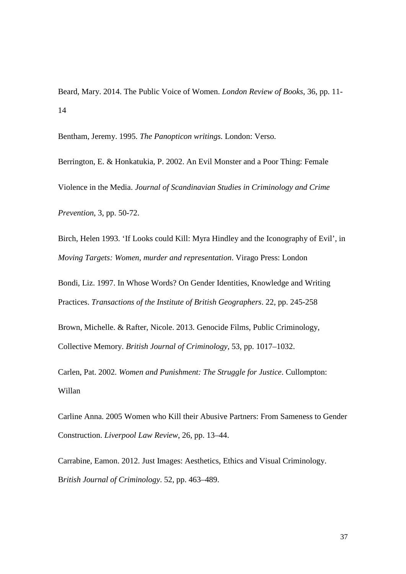Beard, Mary. 2014. The Public Voice of Women. *London Review of Books*, 36, pp. 11- 14

Bentham, Jeremy. 1995. *The Panopticon writings.* London: Verso.

Berrington, E. & Honkatukia, P. 2002. An Evil Monster and a Poor Thing: Female Violence in the Media. *Journal of Scandinavian Studies in Criminology and Crime Prevention*, 3, pp. 50-72.

Birch, Helen 1993. 'If Looks could Kill: Myra Hindley and the Iconography of Evil', in *Moving Targets: Women, murder and representation*. Virago Press: London

Bondi, Liz. 1997. In Whose Words? On Gender Identities, Knowledge and Writing Practices. *Transactions of the Institute of British Geographers*. 22, pp. 245-258

Brown, Michelle. & Rafter, Nicole. 2013. Genocide Films, Public Criminology, Collective Memory. *British Journal of Criminology,* 53, pp. 1017–1032.

Carlen, Pat. 2002. *Women and Punishment: The Struggle for Justice*. Cullompton: Willan

Carline Anna. 2005 Women who Kill their Abusive Partners: From Sameness to Gender Construction. *Liverpool Law Review*, 26, pp. 13–44.

Carrabine, Eamon. 2012. Just Images: Aesthetics, Ethics and Visual Criminology. B*ritish Journal of Criminology*. 52, pp. 463–489.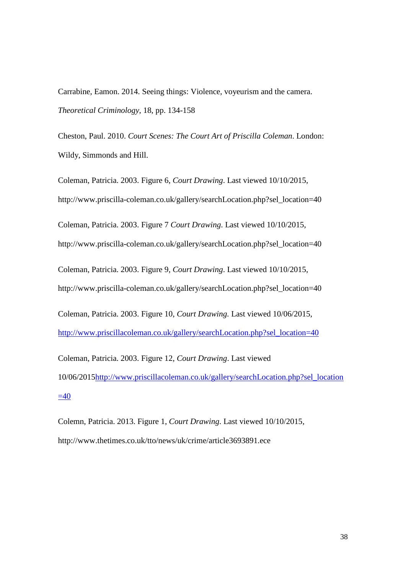Carrabine, Eamon. 2014. Seeing things: Violence, voyeurism and the camera. *Theoretical Criminology*, 18, pp. 134-158

Cheston, Paul. 2010. *Court Scenes: The Court Art of Priscilla Coleman*. London: Wildy, Simmonds and Hill.

Coleman, Patricia. 2003. Figure 6, *Court Drawing*. Last viewed 10/10/2015, http://www.priscilla-coleman.co.uk/gallery/searchLocation.php?sel\_location=40

Coleman, Patricia. 2003. Figure 7 *Court Drawing*. Last viewed 10/10/2015,

http://www.priscilla-coleman.co.uk/gallery/searchLocation.php?sel\_location=40

Coleman, Patricia. 2003. Figure 9, *Court Drawing*. Last viewed 10/10/2015, http://www.priscilla-coleman.co.uk/gallery/searchLocation.php?sel\_location=40

Coleman, Patricia. 2003. Figure 10, *Court Drawing.* Last viewed 10/06/2015, [http://www.priscillacoleman.co.uk/gallery/searchLocation.php?sel\\_location=40](http://www.priscillacoleman.co.uk/gallery/searchLocation.php?sel_location=40)

Coleman, Patricia. 2003. Figure 12, *Court Drawing*. Last viewed 10/06/201[5http://www.priscillacoleman.co.uk/gallery/searchLocation.php?sel\\_location](http://www.priscillacoleman.co.uk/gallery/searchLocation.php?sel_location=40)  $=40$ 

Colemn, Patricia. 2013. Figure 1, *Court Drawing*. Last viewed 10/10/2015, http://www.thetimes.co.uk/tto/news/uk/crime/article3693891.ece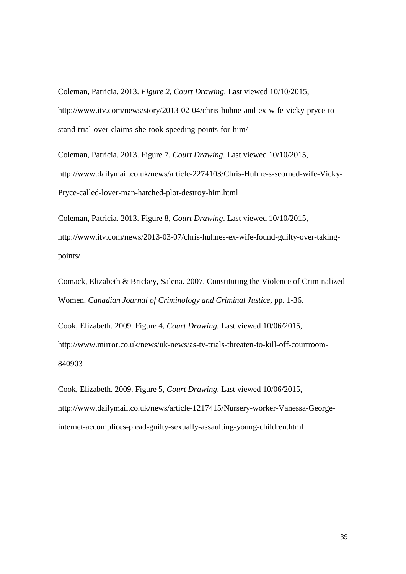Coleman, Patricia. 2013. *Figure 2*, *Court Drawing*. Last viewed 10/10/2015, http://www.itv.com/news/story/2013-02-04/chris-huhne-and-ex-wife-vicky-pryce-tostand-trial-over-claims-she-took-speeding-points-for-him/

Coleman, Patricia. 2013. Figure 7, *Court Drawing*. Last viewed 10/10/2015, http://www.dailymail.co.uk/news/article-2274103/Chris-Huhne-s-scorned-wife-Vicky-Pryce-called-lover-man-hatched-plot-destroy-him.html

Coleman, Patricia. 2013. Figure 8, *Court Drawing*. Last viewed 10/10/2015, http://www.itv.com/news/2013-03-07/chris-huhnes-ex-wife-found-guilty-over-takingpoints/

Comack, Elizabeth & Brickey, Salena. 2007. Constituting the Violence of Criminalized Women. *Canadian Journal of Criminology and Criminal Justice,* pp. 1-36.

Cook, Elizabeth. 2009. Figure 4, *Court Drawing.* Last viewed 10/06/2015, http://www.mirror.co.uk/news/uk-news/as-tv-trials-threaten-to-kill-off-courtroom-840903

Cook, Elizabeth. 2009. Figure 5, *Court Drawing*. Last viewed 10/06/2015, http://www.dailymail.co.uk/news/article-1217415/Nursery-worker-Vanessa-Georgeinternet-accomplices-plead-guilty-sexually-assaulting-young-children.html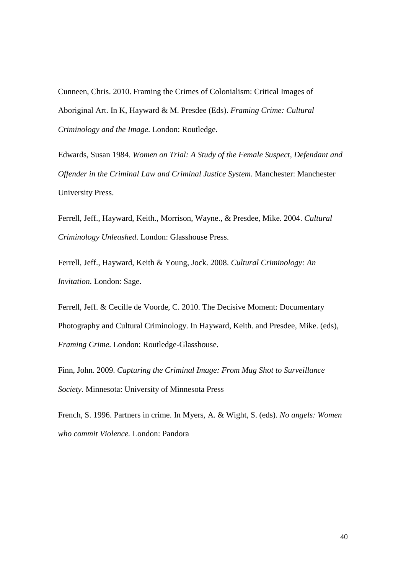Cunneen, Chris. 2010. Framing the Crimes of Colonialism: Critical Images of Aboriginal Art. In K, Hayward & M. Presdee (Eds). *Framing Crime: Cultural Criminology and the Image*. London: Routledge.

Edwards, Susan 1984. *Women on Trial: A Study of the Female Suspect, Defendant and Offender in the Criminal Law and Criminal Justice System*. Manchester: Manchester University Press.

Ferrell, Jeff., Hayward, Keith., Morrison, Wayne., & Presdee, Mike. 2004. *Cultural Criminology Unleashed*. London: Glasshouse Press.

Ferrell, Jeff., Hayward, Keith & Young, Jock. 2008. *Cultural Criminology: An Invitation*. London: Sage.

Ferrell, Jeff. & Cecille de Voorde, C. 2010. The Decisive Moment: Documentary Photography and Cultural Criminology. In Hayward, Keith. and Presdee, Mike. (eds), *Framing Crime*. London: Routledge-Glasshouse.

Finn, John. 2009. *Capturing the Criminal Image: From Mug Shot to Surveillance Society.* Minnesota: University of Minnesota Press

French, S. 1996. Partners in crime. In Myers, A. & Wight, S. (eds). *No angels: Women who commit Violence.* London: Pandora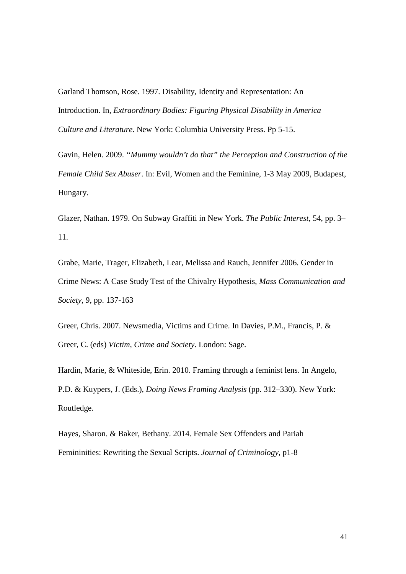Garland Thomson, Rose. 1997. Disability, Identity and Representation: An Introduction. In, *Extraordinary Bodies: Figuring Physical Disability in America Culture and Literature*. New York: Columbia University Press. Pp 5-15.

Gavin, Helen. 2009. *"Mummy wouldn't do that" the Perception and Construction of the Female Child Sex Abuser*. In: Evil, Women and the Feminine, 1-3 May 2009, Budapest, Hungary.

Glazer, Nathan. 1979. On Subway Graffiti in New York. *The Public Interest*, 54, pp. 3– 11.

Grabe, Marie, Trager, Elizabeth, Lear, Melissa and Rauch, Jennifer 2006. Gender in Crime News: A Case Study Test of the Chivalry Hypothesis, *Mass Communication and Society,* 9, pp. 137-163

Greer, Chris. 2007. Newsmedia, Victims and Crime. In Davies, P.M., Francis, P. & Greer, C. (eds) *Victim, Crime and Society*. London: Sage.

Hardin, Marie, & Whiteside, Erin. 2010. Framing through a feminist lens. In Angelo, P.D. & Kuypers, J. (Eds.), *Doing News Framing Analysis* (pp. 312–330). New York: Routledge.

Hayes, Sharon. & Baker, Bethany. 2014. Female Sex Offenders and Pariah Femininities: Rewriting the Sexual Scripts. *Journal of Criminology*, p1-8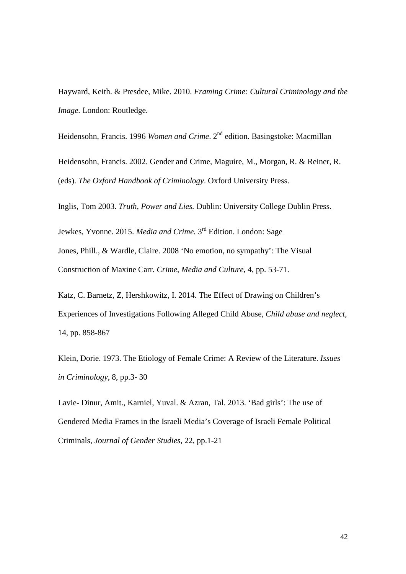Hayward, Keith. & Presdee, Mike. 2010. *Framing Crime: Cultural Criminology and the Image.* London: Routledge.

Heidensohn, Francis. 1996 *Women and Crime*. 2<sup>nd</sup> edition. Basingstoke: Macmillan

Heidensohn, Francis. 2002. Gender and Crime, Maguire, M., Morgan, R. & Reiner, R. (eds). *The Oxford Handbook of Criminology*. Oxford University Press.

Inglis, Tom 2003. *Truth, Power and Lies.* Dublin: University College Dublin Press.

Jewkes, Yvonne. 2015. *Media and Crime.* 3rd Edition. London: Sage Jones, Phill., & Wardle, Claire. 2008 'No emotion, no sympathy': The Visual Construction of Maxine Carr. *Crime*, *Media and Culture,* 4, pp. 53-71.

Katz, C. Barnetz, Z, Hershkowitz, I. 2014. The Effect of Drawing on Children's Experiences of Investigations Following Alleged Child Abuse, *Child abuse and neglect*, 14, pp. 858-867

Klein, Dorie. 1973. The Etiology of Female Crime: A Review of the Literature. *Issues in Criminology*, 8, pp.3- 30

Lavie- Dinur, Amit., Karniel, Yuval. & Azran, Tal. 2013. 'Bad girls': The use of Gendered Media Frames in the Israeli Media's Coverage of Israeli Female Political Criminals, *Journal of Gender Studies*, 22, pp.1-21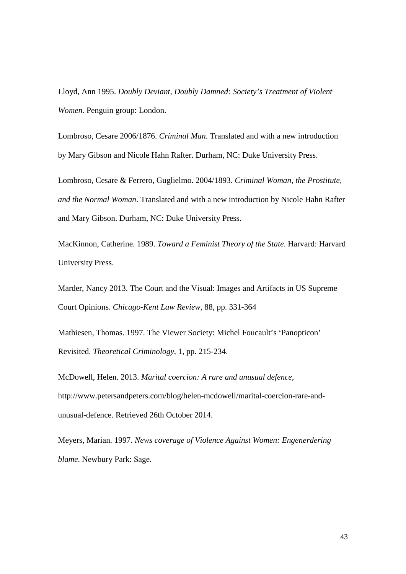Lloyd, Ann 1995. *Doubly Deviant, Doubly Damned: Society's Treatment of Violent Women.* Penguin group: London.

Lombroso, Cesare 2006/1876. *Criminal Man*. Translated and with a new introduction by Mary Gibson and Nicole Hahn Rafter. Durham, NC: Duke University Press.

Lombroso, Cesare & Ferrero, Guglielmo. 2004/1893. *Criminal Woman, the Prostitute, and the Normal Woman*. Translated and with a new introduction by Nicole Hahn Rafter and Mary Gibson. Durham, NC: Duke University Press.

MacKinnon, Catherine. 1989. *Toward a Feminist Theory of the State*. Harvard: Harvard University Press.

Marder, Nancy 2013. The Court and the Visual: Images and Artifacts in US Supreme Court Opinions. *Chicago-Kent Law Review*, 88, pp. 331-364

Mathiesen, Thomas. 1997. The Viewer Society: Michel Foucault's 'Panopticon' Revisited. *Theoretical Criminology*, 1, pp. 215-234.

McDowell, Helen. 2013. *Marital coercion: A rare and unusual defence*, http://www.petersandpeters.com/blog/helen-mcdowell/marital-coercion-rare-andunusual-defence. Retrieved 26th October 2014.

Meyers, Marian. 1997. *News coverage of Violence Against Women: Engenerdering blame*. Newbury Park: Sage.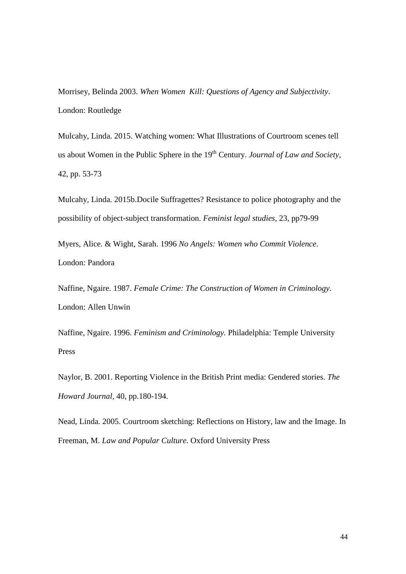Morrisey, Belinda 2003. *When Women Kill: Questions of Agency and Subjectivity*. London: Routledge

Mulcahy, Linda. 2015. Watching women: What Illustrations of Courtroom scenes tell us about Women in the Public Sphere in the 19<sup>th</sup> Century. *Journal of Law and Society*, 42, pp. 53-73

Mulcahy, Linda. 2015b.Docile Suffragettes? Resistance to police photography and the possibility of object-subject transformation. *Feminist legal studies*, 23, pp79-99

Myers, Alice. & Wight, Sarah. 1996 *No Angels: Women who Commit Violence*. London: Pandora

Naffine, Ngaire. 1987. *Female Crime: The Construction of Women in Criminology*. London: Allen Unwin

Naffine, Ngaire. 1996. *Feminism and Criminology.* Philadelphia: Temple University Press

Naylor, B. 2001. Reporting Violence in the British Print media: Gendered stories. *The Howard Journal,* 40, pp.180-194.

Nead, Linda. 2005. Courtroom sketching: Reflections on History, law and the Image. In Freeman, M. *Law and Popular Culture*. Oxford University Press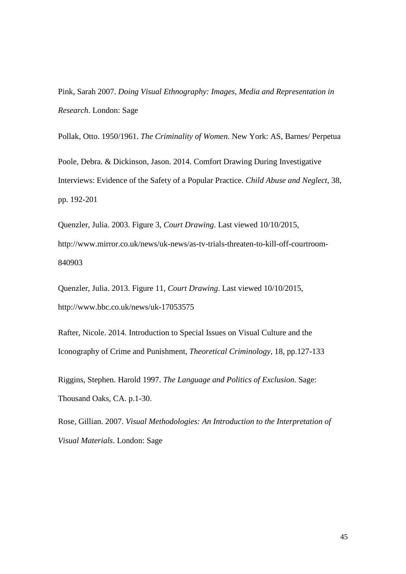Pink, Sarah 2007. *Doing Visual Ethnography: Images, Media and Representation in Research*. London: Sage

Pollak, Otto. 1950/1961. *The Criminality of Women*. New York: AS, Barnes/ Perpetua

Poole, Debra. & Dickinson, Jason. 2014. Comfort Drawing During Investigative Interviews: Evidence of the Safety of a Popular Practice. *Child Abuse and Neglect*, 38, pp. 192-201

Quenzler, Julia. 2003. Figure 3, *Court Drawing*. Last viewed 10/10/2015, http://www.mirror.co.uk/news/uk-news/as-tv-trials-threaten-to-kill-off-courtroom-840903

Quenzler, Julia. 2013. Figure 11, *Court Drawing*. Last viewed 10/10/2015, http://www.bbc.co.uk/news/uk-17053575

Rafter, Nicole. 2014. Introduction to Special Issues on Visual Culture and the Iconography of Crime and Punishment, *Theoretical Criminology*, 18, pp.127-133

Riggins, Stephen. Harold 1997. *The Language and Politics of Exclusion*. Sage: Thousand Oaks, CA. p.1-30.

Rose, Gillian. 2007. *Visual Methodologies: An Introduction to the Interpretation of Visual Materials*. London: Sage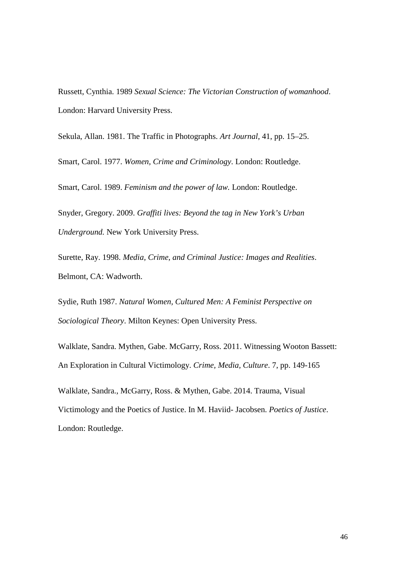Russett, Cynthia. 1989 *Sexual Science: The Victorian Construction of womanhood*. London: Harvard University Press.

Sekula, Allan. 1981. The Traffic in Photographs. *Art Journal*, 41, pp. 15–25.

Smart, Carol. 1977. *Women, Crime and Criminology*. London: Routledge.

Smart, Carol. 1989. *Feminism and the power of law.* London: Routledge.

Snyder, Gregory. 2009. *Graffiti lives: Beyond the tag in New York's Urban Underground.* New York University Press.

Surette, Ray. 1998. *Media, Crime, and Criminal Justice: Images and Realities*. Belmont, CA: Wadworth.

Sydie, Ruth 1987. *Natural Women, Cultured Men: A Feminist Perspective on Sociological Theory*. Milton Keynes: Open University Press.

Walklate, Sandra. Mythen, Gabe. McGarry, Ross. 2011. Witnessing Wooton Bassett: An Exploration in Cultural Victimology. *Crime, Media, Culture*. 7, pp. 149-165

Walklate, Sandra., McGarry, Ross. & Mythen, Gabe. 2014. Trauma, Visual Victimology and the Poetics of Justice. In M. Haviid- Jacobsen. *Poetics of Justice*. London: Routledge.